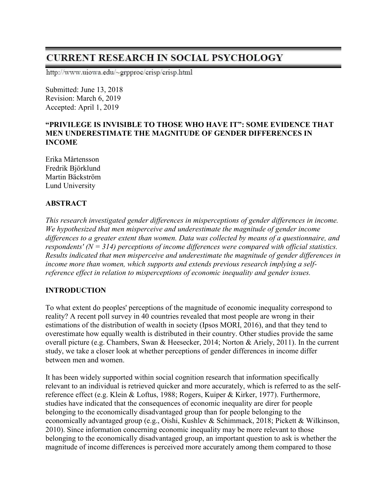# **CURRENT RESEARCH IN SOCIAL PSYCHOLOGY**

http://www.uiowa.edu/~grpproc/crisp/crisp.html

Submitted: June 13, 2018 Revision: March 6, 2019 Accepted: April 1, 2019

#### **"PRIVILEGE IS INVISIBLE TO THOSE WHO HAVE IT": SOME EVIDENCE THAT MEN UNDERESTIMATE THE MAGNITUDE OF GENDER DIFFERENCES IN INCOME**

Erika Mårtensson Fredrik Björklund Martin Bäckström Lund University

# **ABSTRACT**

*This research investigated gender differences in misperceptions of gender differences in income. We hypothesized that men misperceive and underestimate the magnitude of gender income differences to a greater extent than women. Data was collected by means of a questionnaire, and respondents' (N = 314) perceptions of income differences were compared with official statistics. Results indicated that men misperceive and underestimate the magnitude of gender differences in income more than women, which supports and extends previous research implying a selfreference effect in relation to misperceptions of economic inequality and gender issues.*

# **INTRODUCTION**

To what extent do peoples' perceptions of the magnitude of economic inequality correspond to reality? A recent poll survey in 40 countries revealed that most people are wrong in their estimations of the distribution of wealth in society (Ipsos MORI, 2016), and that they tend to overestimate how equally wealth is distributed in their country. Other studies provide the same overall picture (e.g. Chambers, Swan & Heesecker, 2014; Norton & Ariely, 2011). In the current study, we take a closer look at whether perceptions of gender differences in income differ between men and women.

It has been widely supported within social cognition research that information specifically relevant to an individual is retrieved quicker and more accurately, which is referred to as the selfreference effect (e.g. Klein & Loftus, 1988; Rogers, Kuiper & Kirker, 1977). Furthermore, studies have indicated that the consequences of economic inequality are direr for people belonging to the economically disadvantaged group than for people belonging to the economically advantaged group (e.g., Oishi, Kushlev & Schimmack, 2018; Pickett & Wilkinson, 2010). Since information concerning economic inequality may be more relevant to those belonging to the economically disadvantaged group, an important question to ask is whether the magnitude of income differences is perceived more accurately among them compared to those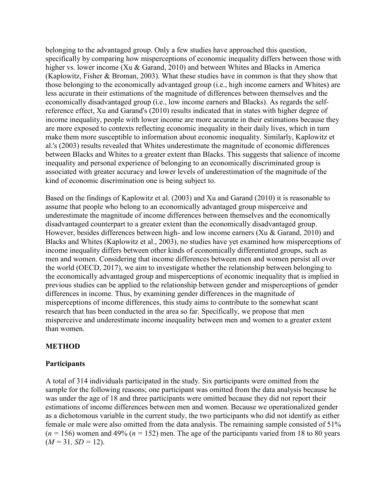belonging to the advantaged group. Only a few studies have approached this question, specifically by comparing how misperceptions of economic inequality differs between those with higher vs. lower income (Xu & Garand, 2010) and between Whites and Blacks in America (Kaplowitz, Fisher & Broman, 2003). What these studies have in common is that they show that those belonging to the economically advantaged group (i.e., high income earners and Whites) are less accurate in their estimations of the magnitude of differences between themselves and the economically disadvantaged group (i.e., low income earners and Blacks). As regards the selfreference effect, Xu and Garand's (2010) results indicated that in states with higher degree of income inequality, people with lower income are more accurate in their estimations because they are more exposed to contexts reflecting economic inequality in their daily lives, which in turn make them more susceptible to information about economic inequality. Similarly, Kaplowitz et al.'s (2003) results revealed that Whites underestimate the magnitude of economic differences between Blacks and Whites to a greater extent than Blacks. This suggests that salience of income inequality and personal experience of belonging to an economically discriminated group is associated with greater accuracy and lower levels of underestimation of the magnitude of the kind of economic discrimination one is being subject to.

Based on the findings of Kaplowitz et al. (2003) and Xu and Garand (2010) it is reasonable to assume that people who belong to an economically advantaged group misperceive and underestimate the magnitude of income differences between themselves and the economically disadvantaged counterpart to a greater extent than the economically disadvantaged group. However, besides differences between high- and low income earners (Xu & Garand, 2010) and Blacks and Whites (Kaplowitz et al., 2003), no studies have yet examined how misperceptions of income inequality differs between other kinds of economically differentiated groups, such as men and women. Considering that income differences between men and women persist all over the world (OECD, 2017), we aim to investigate whether the relationship between belonging to the economically advantaged group and misperceptions of economic inequality that is implied in previous studies can be applied to the relationship between gender and misperceptions of gender differences in income. Thus, by examining gender differences in the magnitude of misperceptions of income differences, this study aims to contribute to the somewhat scant research that has been conducted in the area so far. Specifically, we propose that men misperceive and underestimate income inequality between men and women to a greater extent than women.

## **METHOD**

#### **Participants**

A total of 314 individuals participated in the study. Six participants were omitted from the sample for the following reasons; one participant was omitted from the data analysis because he was under the age of 18 and three participants were omitted because they did not report their estimations of income differences between men and women. Because we operationalized gender as a dichotomous variable in the current study, the two participants who did not identify as either female or male were also omitted from the data analysis. The remaining sample consisted of 51%  $(n = 156)$  women and 49%  $(n = 152)$  men. The age of the participants varied from 18 to 80 years  $(M = 31, SD = 12)$ .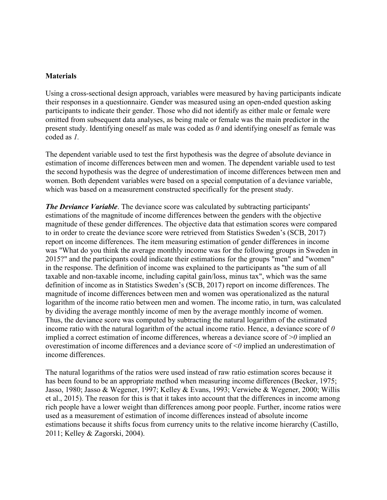#### **Materials**

Using a cross-sectional design approach, variables were measured by having participants indicate their responses in a questionnaire. Gender was measured using an open-ended question asking participants to indicate their gender. Those who did not identify as either male or female were omitted from subsequent data analyses, as being male or female was the main predictor in the present study. Identifying oneself as male was coded as *0* and identifying oneself as female was coded as *1.*

The dependent variable used to test the first hypothesis was the degree of absolute deviance in estimation of income differences between men and women. The dependent variable used to test the second hypothesis was the degree of underestimation of income differences between men and women. Both dependent variables were based on a special computation of a deviance variable, which was based on a measurement constructed specifically for the present study.

*The Deviance Variable*. The deviance score was calculated by subtracting participants' estimations of the magnitude of income differences between the genders with the objective magnitude of these gender differences. The objective data that estimation scores were compared to in order to create the deviance score were retrieved from Statistics Sweden's (SCB, 2017) report on income differences. The item measuring estimation of gender differences in income was "What do you think the average monthly income was for the following groups in Sweden in 2015?" and the participants could indicate their estimations for the groups "men" and "women" in the response. The definition of income was explained to the participants as "the sum of all taxable and non-taxable income, including capital gain/loss, minus tax", which was the same definition of income as in Statistics Sweden's (SCB, 2017) report on income differences. The magnitude of income differences between men and women was operationalized as the natural logarithm of the income ratio between men and women. The income ratio, in turn, was calculated by dividing the average monthly income of men by the average monthly income of women. Thus, the deviance score was computed by subtracting the natural logarithm of the estimated income ratio with the natural logarithm of the actual income ratio. Hence, a deviance score of *0*  implied a correct estimation of income differences, whereas a deviance score of >*0* implied an overestimation of income differences and a deviance score of <*0* implied an underestimation of income differences.

The natural logarithms of the ratios were used instead of raw ratio estimation scores because it has been found to be an appropriate method when measuring income differences (Becker, 1975; Jasso, 1980; Jasso & Wegener, 1997; Kelley & Evans, 1993; Verwiebe & Wegener, 2000; Willis et al., 2015). The reason for this is that it takes into account that the differences in income among rich people have a lower weight than differences among poor people. Further, income ratios were used as a measurement of estimation of income differences instead of absolute income estimations because it shifts focus from currency units to the relative income hierarchy (Castillo, 2011; Kelley & Zagorski, 2004).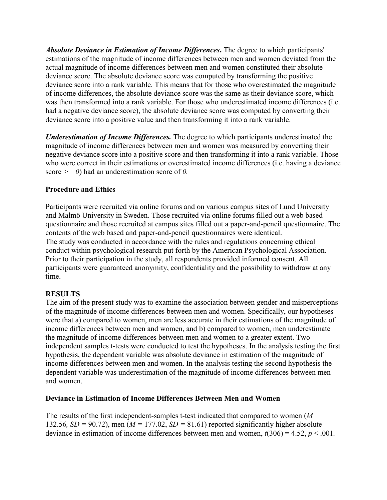*Absolute Deviance in Estimation of Income Differences***.** The degree to which participants' estimations of the magnitude of income differences between men and women deviated from the actual magnitude of income differences between men and women constituted their absolute deviance score. The absolute deviance score was computed by transforming the positive deviance score into a rank variable. This means that for those who overestimated the magnitude of income differences, the absolute deviance score was the same as their deviance score, which was then transformed into a rank variable. For those who underestimated income differences (i.e. had a negative deviance score), the absolute deviance score was computed by converting their deviance score into a positive value and then transforming it into a rank variable.

*Underestimation of Income Differences.* The degree to which participants underestimated the magnitude of income differences between men and women was measured by converting their negative deviance score into a positive score and then transforming it into a rank variable. Those who were correct in their estimations or overestimated income differences (i.e. having a deviance score *>= 0*) had an underestimation score of *0.* 

## **Procedure and Ethics**

Participants were recruited via online forums and on various campus sites of Lund University and Malmö University in Sweden. Those recruited via online forums filled out a web based questionnaire and those recruited at campus sites filled out a paper-and-pencil questionnaire. The contents of the web based and paper-and-pencil questionnaires were identical. The study was conducted in accordance with the rules and regulations concerning ethical conduct within psychological research put forth by the American Psychological Association. Prior to their participation in the study, all respondents provided informed consent. All participants were guaranteed anonymity, confidentiality and the possibility to withdraw at any time.

## **RESULTS**

The aim of the present study was to examine the association between gender and misperceptions of the magnitude of income differences between men and women. Specifically, our hypotheses were that a) compared to women, men are less accurate in their estimations of the magnitude of income differences between men and women, and b) compared to women, men underestimate the magnitude of income differences between men and women to a greater extent. Two independent samples t-tests were conducted to test the hypotheses. In the analysis testing the first hypothesis, the dependent variable was absolute deviance in estimation of the magnitude of income differences between men and women. In the analysis testing the second hypothesis the dependent variable was underestimation of the magnitude of income differences between men and women.

## **Deviance in Estimation of Income Differences Between Men and Women**

The results of the first independent-samples t-test indicated that compared to women (*M =*  132.56*, SD* = 90.72), men ( $M = 177.02$ ,  $SD = 81.61$ ) reported significantly higher absolute deviance in estimation of income differences between men and women,  $t(306) = 4.52$ ,  $p < .001$ .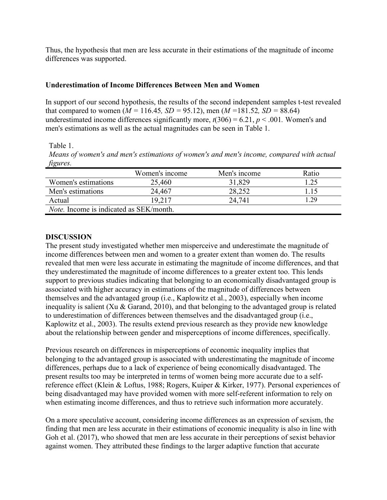Thus, the hypothesis that men are less accurate in their estimations of the magnitude of income differences was supported.

# **Underestimation of Income Differences Between Men and Women**

In support of our second hypothesis, the results of the second independent samples t-test revealed that compared to women ( $M = 116.45$ ,  $SD = 95.12$ ), men ( $M = 181.52$ ,  $SD = 88.64$ ) underestimated income differences significantly more,  $t(306) = 6.21$ ,  $p < .001$ . Women's and men's estimations as well as the actual magnitudes can be seen in Table 1.

Table 1.

*Means of women's and men's estimations of women's and men's income, compared with actual figures.*

|                                                 | Women's income | Men's income | Ratio |
|-------------------------------------------------|----------------|--------------|-------|
| Women's estimations                             | 25,460         | 31,829       | 1.25  |
| Men's estimations                               | 24,467         | 28,252       |       |
| Actual                                          | 19,217         | 24.741       | 1.29  |
| <i>Note</i> . Income is indicated as SEK/month. |                |              |       |

# **DISCUSSION**

The present study investigated whether men misperceive and underestimate the magnitude of income differences between men and women to a greater extent than women do. The results revealed that men were less accurate in estimating the magnitude of income differences, and that they underestimated the magnitude of income differences to a greater extent too. This lends support to previous studies indicating that belonging to an economically disadvantaged group is associated with higher accuracy in estimations of the magnitude of differences between themselves and the advantaged group (i.e., Kaplowitz et al., 2003), especially when income inequality is salient (Xu & Garand, 2010), and that belonging to the advantaged group is related to underestimation of differences between themselves and the disadvantaged group (i.e., Kaplowitz et al., 2003). The results extend previous research as they provide new knowledge about the relationship between gender and misperceptions of income differences, specifically.

Previous research on differences in misperceptions of economic inequality implies that belonging to the advantaged group is associated with underestimating the magnitude of income differences, perhaps due to a lack of experience of being economically disadvantaged. The present results too may be interpreted in terms of women being more accurate due to a selfreference effect (Klein & Loftus, 1988; Rogers, Kuiper & Kirker, 1977). Personal experiences of being disadvantaged may have provided women with more self-referent information to rely on when estimating income differences, and thus to retrieve such information more accurately.

On a more speculative account, considering income differences as an expression of sexism, the finding that men are less accurate in their estimations of economic inequality is also in line with Goh et al. (2017), who showed that men are less accurate in their perceptions of sexist behavior against women. They attributed these findings to the larger adaptive function that accurate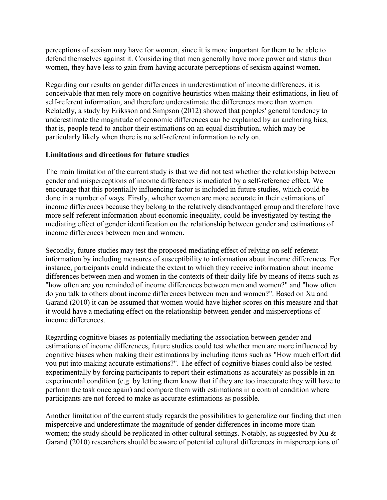perceptions of sexism may have for women, since it is more important for them to be able to defend themselves against it. Considering that men generally have more power and status than women, they have less to gain from having accurate perceptions of sexism against women.

Regarding our results on gender differences in underestimation of income differences, it is conceivable that men rely more on cognitive heuristics when making their estimations, in lieu of self-referent information, and therefore underestimate the differences more than women. Relatedly, a study by Eriksson and Simpson (2012) showed that peoples' general tendency to underestimate the magnitude of economic differences can be explained by an anchoring bias; that is, people tend to anchor their estimations on an equal distribution, which may be particularly likely when there is no self-referent information to rely on.

#### **Limitations and directions for future studies**

The main limitation of the current study is that we did not test whether the relationship between gender and misperceptions of income differences is mediated by a self-reference effect. We encourage that this potentially influencing factor is included in future studies, which could be done in a number of ways. Firstly, whether women are more accurate in their estimations of income differences because they belong to the relatively disadvantaged group and therefore have more self-referent information about economic inequality, could be investigated by testing the mediating effect of gender identification on the relationship between gender and estimations of income differences between men and women.

Secondly, future studies may test the proposed mediating effect of relying on self-referent information by including measures of susceptibility to information about income differences. For instance, participants could indicate the extent to which they receive information about income differences between men and women in the contexts of their daily life by means of items such as "how often are you reminded of income differences between men and women?" and "how often do you talk to others about income differences between men and women?". Based on Xu and Garand (2010) it can be assumed that women would have higher scores on this measure and that it would have a mediating effect on the relationship between gender and misperceptions of income differences.

Regarding cognitive biases as potentially mediating the association between gender and estimations of income differences, future studies could test whether men are more influenced by cognitive biases when making their estimations by including items such as "How much effort did you put into making accurate estimations?". The effect of cognitive biases could also be tested experimentally by forcing participants to report their estimations as accurately as possible in an experimental condition (e.g. by letting them know that if they are too inaccurate they will have to perform the task once again) and compare them with estimations in a control condition where participants are not forced to make as accurate estimations as possible.

Another limitation of the current study regards the possibilities to generalize our finding that men misperceive and underestimate the magnitude of gender differences in income more than women; the study should be replicated in other cultural settings. Notably, as suggested by Xu & Garand (2010) researchers should be aware of potential cultural differences in misperceptions of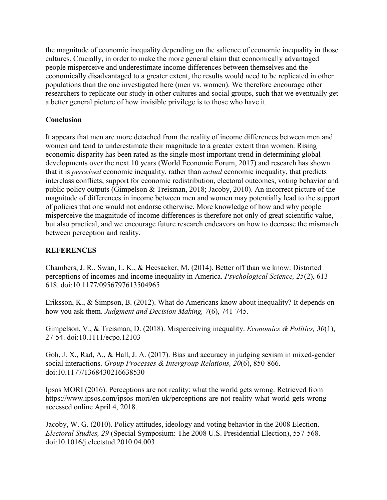the magnitude of economic inequality depending on the salience of economic inequality in those cultures. Crucially, in order to make the more general claim that economically advantaged people misperceive and underestimate income differences between themselves and the economically disadvantaged to a greater extent, the results would need to be replicated in other populations than the one investigated here (men vs. women). We therefore encourage other researchers to replicate our study in other cultures and social groups, such that we eventually get a better general picture of how invisible privilege is to those who have it.

# **Conclusion**

It appears that men are more detached from the reality of income differences between men and women and tend to underestimate their magnitude to a greater extent than women. Rising economic disparity has been rated as the single most important trend in determining global developments over the next 10 years (World Economic Forum, 2017) and research has shown that it is *perceived* economic inequality, rather than *actual* economic inequality, that predicts interclass conflicts, support for economic redistribution, electoral outcomes, voting behavior and public policy outputs (Gimpelson & Treisman, 2018; Jacoby, 2010). An incorrect picture of the magnitude of differences in income between men and women may potentially lead to the support of policies that one would not endorse otherwise. More knowledge of how and why people misperceive the magnitude of income differences is therefore not only of great scientific value, but also practical, and we encourage future research endeavors on how to decrease the mismatch between perception and reality.

# **REFERENCES**

Chambers, J. R., Swan, L. K., & Heesacker, M. (2014). Better off than we know: Distorted perceptions of incomes and income inequality in America. *Psychological Science, 25*(2), 613- 618. doi:10.1177/0956797613504965

Eriksson, K., & Simpson, B. (2012). What do Americans know about inequality? It depends on how you ask them. *Judgment and Decision Making, 7*(6), 741-745.

Gimpelson, V., & Treisman, D. (2018). Misperceiving inequality. *Economics & Politics, 30*(1), 27-54. doi:10.1111/ecpo.12103

Goh, J. X., Rad, A., & Hall, J. A. (2017). Bias and accuracy in judging sexism in mixed-gender social interactions. *Group Processes & Intergroup Relations, 20*(6), 850-866. doi:10.1177/1368430216638530

Ipsos MORI (2016). Perceptions are not reality: what the world gets wrong. Retrieved from <https://www.ipsos.com/ipsos-mori/en-uk/perceptions-are-not-reality-what-world-gets-wrong> accessed online April 4, 2018.

Jacoby, W. G. (2010). Policy attitudes, ideology and voting behavior in the 2008 Election. *Electoral Studies, 29* (Special Symposium: The 2008 U.S. Presidential Election), 557-568. doi:10.1016/j.electstud.2010.04.003